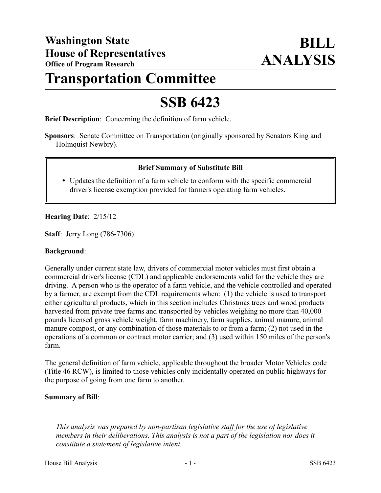# **Transportation Committee**

# **SSB 6423**

**Brief Description**: Concerning the definition of farm vehicle.

**Sponsors**: Senate Committee on Transportation (originally sponsored by Senators King and Holmquist Newbry).

## **Brief Summary of Substitute Bill**

 Updates the definition of a farm vehicle to conform with the specific commercial driver's license exemption provided for farmers operating farm vehicles.

## **Hearing Date**: 2/15/12

**Staff**: Jerry Long (786-7306).

#### **Background**:

Generally under current state law, drivers of commercial motor vehicles must first obtain a commercial driver's license (CDL) and applicable endorsements valid for the vehicle they are driving. A person who is the operator of a farm vehicle, and the vehicle controlled and operated by a farmer, are exempt from the CDL requirements when: (1) the vehicle is used to transport either agricultural products, which in this section includes Christmas trees and wood products harvested from private tree farms and transported by vehicles weighing no more than 40,000 pounds licensed gross vehicle weight, farm machinery, farm supplies, animal manure, animal manure compost, or any combination of those materials to or from a farm; (2) not used in the operations of a common or contract motor carrier; and (3) used within 150 miles of the person's farm.

The general definition of farm vehicle, applicable throughout the broader Motor Vehicles code (Title 46 RCW), is limited to those vehicles only incidentally operated on public highways for the purpose of going from one farm to another.

#### **Summary of Bill**:

––––––––––––––––––––––

*This analysis was prepared by non-partisan legislative staff for the use of legislative members in their deliberations. This analysis is not a part of the legislation nor does it constitute a statement of legislative intent.*